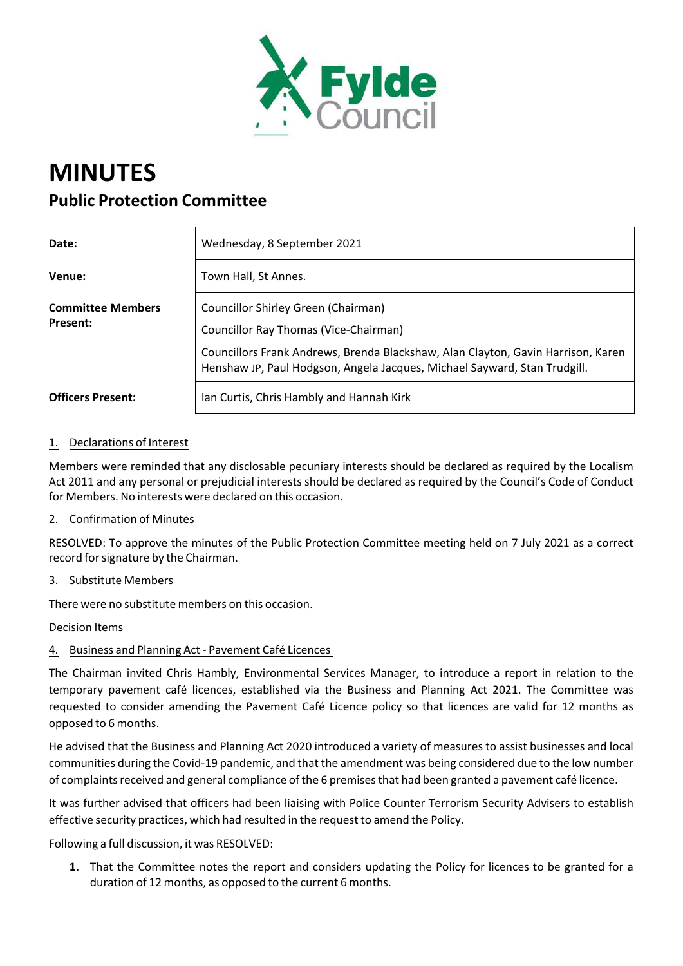

# **MINUTES Public Protection Committee**

| Date:                                       | Wednesday, 8 September 2021                                                                                                                                                                                                                   |
|---------------------------------------------|-----------------------------------------------------------------------------------------------------------------------------------------------------------------------------------------------------------------------------------------------|
| Venue:                                      | Town Hall, St Annes.                                                                                                                                                                                                                          |
| <b>Committee Members</b><br><b>Present:</b> | Councillor Shirley Green (Chairman)<br>Councillor Ray Thomas (Vice-Chairman)<br>Councillors Frank Andrews, Brenda Blackshaw, Alan Clayton, Gavin Harrison, Karen<br>Henshaw JP, Paul Hodgson, Angela Jacques, Michael Sayward, Stan Trudgill. |
| <b>Officers Present:</b>                    | Ian Curtis, Chris Hambly and Hannah Kirk                                                                                                                                                                                                      |

## 1. Declarations of Interest

Members were reminded that any disclosable pecuniary interests should be declared as required by the Localism Act 2011 and any personal or prejudicial interests should be declared as required by the Council's Code of Conduct for Members. No interests were declared on this occasion.

#### 2. Confirmation of Minutes

RESOLVED: To approve the minutes of the Public Protection Committee meeting held on 7 July 2021 as a correct record for signature by the Chairman.

#### 3. Substitute Members

There were no substitute members on this occasion.

#### Decision Items

## 4. Business and Planning Act ‐ Pavement Café Licences

The Chairman invited Chris Hambly, Environmental Services Manager, to introduce a report in relation to the temporary pavement café licences, established via the Business and Planning Act 2021. The Committee was requested to consider amending the Pavement Café Licence policy so that licences are valid for 12 months as opposed to 6 months.

He advised that the Business and Planning Act 2020 introduced a variety of measures to assist businesses and local communities during the Covid‐19 pandemic, and that the amendment was being considered due to the low number of complaints received and general compliance of the 6 premises that had been granted a pavement café licence.

It was further advised that officers had been liaising with Police Counter Terrorism Security Advisers to establish effective security practices, which had resulted in the request to amend the Policy.

Following a full discussion, it was RESOLVED:

**1.** That the Committee notes the report and considers updating the Policy for licences to be granted for a duration of 12 months, as opposed to the current 6 months.